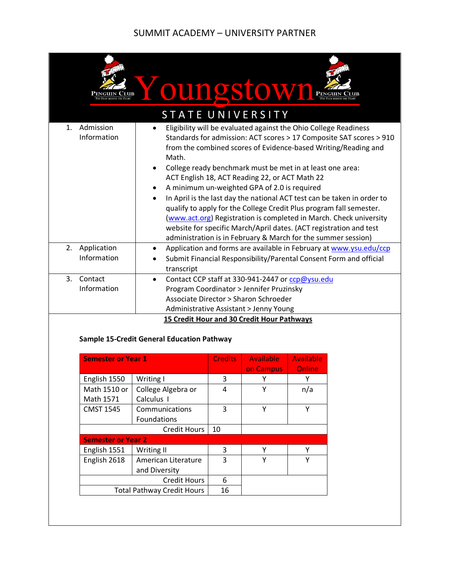## SUMMIT ACADEMY – UNIVERSITY PARTNER

|                                                                                                                                                                                                                                                                                                                                 |                                                                                                                                                                                                                                                                                                                                                                                                                                                                                                                                                                                                                                                                                                                                                                                                        | oungstow                             |                |                  |                  |  |  |  |  |  |  |
|---------------------------------------------------------------------------------------------------------------------------------------------------------------------------------------------------------------------------------------------------------------------------------------------------------------------------------|--------------------------------------------------------------------------------------------------------------------------------------------------------------------------------------------------------------------------------------------------------------------------------------------------------------------------------------------------------------------------------------------------------------------------------------------------------------------------------------------------------------------------------------------------------------------------------------------------------------------------------------------------------------------------------------------------------------------------------------------------------------------------------------------------------|--------------------------------------|----------------|------------------|------------------|--|--|--|--|--|--|
| STATE UNIVERSITY                                                                                                                                                                                                                                                                                                                |                                                                                                                                                                                                                                                                                                                                                                                                                                                                                                                                                                                                                                                                                                                                                                                                        |                                      |                |                  |                  |  |  |  |  |  |  |
| 1.                                                                                                                                                                                                                                                                                                                              | Admission<br>Eligibility will be evaluated against the Ohio College Readiness<br>$\bullet$<br>Information<br>Standards for admission: ACT scores > 17 Composite SAT scores > 910<br>from the combined scores of Evidence-based Writing/Reading and<br>Math.<br>College ready benchmark must be met in at least one area:<br>$\bullet$<br>ACT English 18, ACT Reading 22, or ACT Math 22<br>A minimum un-weighted GPA of 2.0 is required<br>In April is the last day the national ACT test can be taken in order to<br>qualify to apply for the College Credit Plus program fall semester.<br>(www.act.org) Registration is completed in March. Check university<br>website for specific March/April dates. (ACT registration and test<br>administration is in February & March for the summer session) |                                      |                |                  |                  |  |  |  |  |  |  |
| 2.                                                                                                                                                                                                                                                                                                                              | Application<br>Application and forms are available in February at www.ysu.edu/ccp<br>$\bullet$<br>Information<br>Submit Financial Responsibility/Parental Consent Form and official<br>transcript                                                                                                                                                                                                                                                                                                                                                                                                                                                                                                                                                                                                      |                                      |                |                  |                  |  |  |  |  |  |  |
|                                                                                                                                                                                                                                                                                                                                 |                                                                                                                                                                                                                                                                                                                                                                                                                                                                                                                                                                                                                                                                                                                                                                                                        |                                      |                |                  |                  |  |  |  |  |  |  |
| Contact<br>3.<br>Contact CCP staff at 330-941-2447 or ccp@ysu.edu<br>$\bullet$<br>Information<br>Program Coordinator > Jennifer Pruzinsky<br>Associate Director > Sharon Schroeder<br>Administrative Assistant > Jenny Young<br>15 Credit Hour and 30 Credit Hour Pathways<br><b>Sample 15-Credit General Education Pathway</b> |                                                                                                                                                                                                                                                                                                                                                                                                                                                                                                                                                                                                                                                                                                                                                                                                        |                                      |                |                  |                  |  |  |  |  |  |  |
|                                                                                                                                                                                                                                                                                                                                 | <b>Semester or Year 1</b>                                                                                                                                                                                                                                                                                                                                                                                                                                                                                                                                                                                                                                                                                                                                                                              |                                      | <b>Credits</b> | <b>Available</b> | <b>Available</b> |  |  |  |  |  |  |
|                                                                                                                                                                                                                                                                                                                                 |                                                                                                                                                                                                                                                                                                                                                                                                                                                                                                                                                                                                                                                                                                                                                                                                        |                                      |                | on Campus        | Online           |  |  |  |  |  |  |
|                                                                                                                                                                                                                                                                                                                                 | English 1550                                                                                                                                                                                                                                                                                                                                                                                                                                                                                                                                                                                                                                                                                                                                                                                           | Writing I                            | 3              | Υ                | Υ                |  |  |  |  |  |  |
|                                                                                                                                                                                                                                                                                                                                 | Math 1510 or<br>Math 1571                                                                                                                                                                                                                                                                                                                                                                                                                                                                                                                                                                                                                                                                                                                                                                              | College Algebra or<br>Calculus I     | 4              | Y                | n/a              |  |  |  |  |  |  |
|                                                                                                                                                                                                                                                                                                                                 | <b>CMST 1545</b>                                                                                                                                                                                                                                                                                                                                                                                                                                                                                                                                                                                                                                                                                                                                                                                       | Communications                       | 3              | Y                | Y                |  |  |  |  |  |  |
|                                                                                                                                                                                                                                                                                                                                 |                                                                                                                                                                                                                                                                                                                                                                                                                                                                                                                                                                                                                                                                                                                                                                                                        | Foundations<br><b>Credit Hours</b>   | 10             |                  |                  |  |  |  |  |  |  |
|                                                                                                                                                                                                                                                                                                                                 | <b>Semester or Year 2</b>                                                                                                                                                                                                                                                                                                                                                                                                                                                                                                                                                                                                                                                                                                                                                                              |                                      |                |                  |                  |  |  |  |  |  |  |
|                                                                                                                                                                                                                                                                                                                                 | English 1551                                                                                                                                                                                                                                                                                                                                                                                                                                                                                                                                                                                                                                                                                                                                                                                           | Writing II                           | 3              | Υ                | Υ                |  |  |  |  |  |  |
|                                                                                                                                                                                                                                                                                                                                 | English 2618                                                                                                                                                                                                                                                                                                                                                                                                                                                                                                                                                                                                                                                                                                                                                                                           | American Literature<br>and Diversity | 3<br>6         | Y                | Υ                |  |  |  |  |  |  |
|                                                                                                                                                                                                                                                                                                                                 | <b>Credit Hours</b>                                                                                                                                                                                                                                                                                                                                                                                                                                                                                                                                                                                                                                                                                                                                                                                    |                                      |                |                  |                  |  |  |  |  |  |  |
|                                                                                                                                                                                                                                                                                                                                 | <b>Total Pathway Credit Hours</b>                                                                                                                                                                                                                                                                                                                                                                                                                                                                                                                                                                                                                                                                                                                                                                      | 16                                   |                |                  |                  |  |  |  |  |  |  |
|                                                                                                                                                                                                                                                                                                                                 |                                                                                                                                                                                                                                                                                                                                                                                                                                                                                                                                                                                                                                                                                                                                                                                                        |                                      |                |                  |                  |  |  |  |  |  |  |